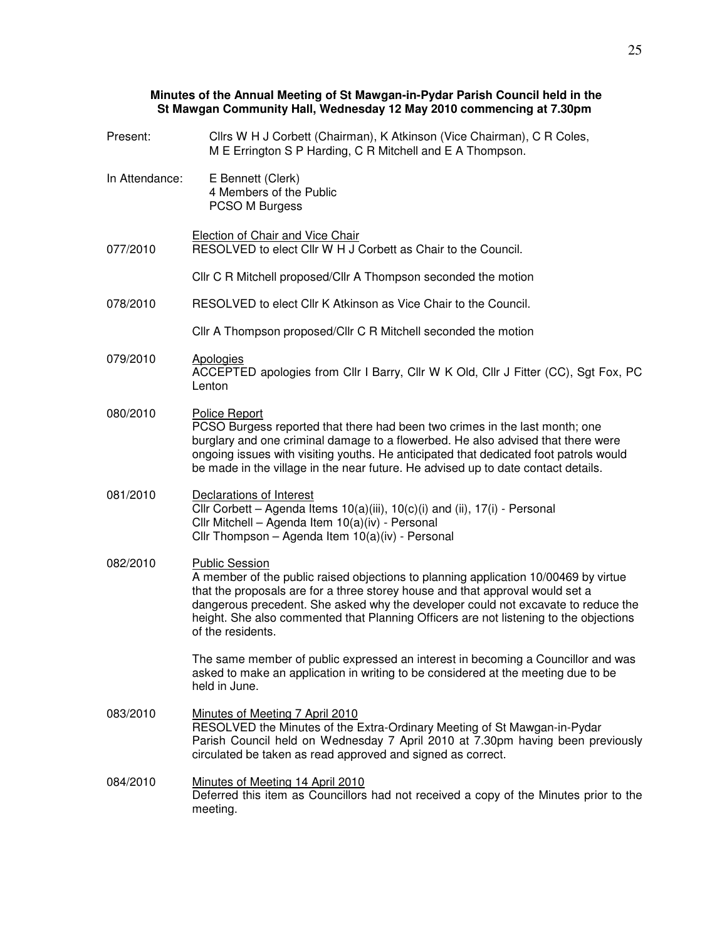## **Minutes of the Annual Meeting of St Mawgan-in-Pydar Parish Council held in the St Mawgan Community Hall, Wednesday 12 May 2010 commencing at 7.30pm**

| Present:       | Cllrs W H J Corbett (Chairman), K Atkinson (Vice Chairman), C R Coles,<br>M E Errington S P Harding, C R Mitchell and E A Thompson.                                                                                                                                                                                                                                                              |
|----------------|--------------------------------------------------------------------------------------------------------------------------------------------------------------------------------------------------------------------------------------------------------------------------------------------------------------------------------------------------------------------------------------------------|
| In Attendance: | E Bennett (Clerk)<br>4 Members of the Public<br>PCSO M Burgess                                                                                                                                                                                                                                                                                                                                   |
| 077/2010       | Election of Chair and Vice Chair<br>RESOLVED to elect Cllr W H J Corbett as Chair to the Council.                                                                                                                                                                                                                                                                                                |
|                | Cllr C R Mitchell proposed/Cllr A Thompson seconded the motion                                                                                                                                                                                                                                                                                                                                   |
| 078/2010       | RESOLVED to elect Cllr K Atkinson as Vice Chair to the Council.                                                                                                                                                                                                                                                                                                                                  |
|                | Cllr A Thompson proposed/Cllr C R Mitchell seconded the motion                                                                                                                                                                                                                                                                                                                                   |
| 079/2010       | Apologies<br>ACCEPTED apologies from Cllr I Barry, Cllr W K Old, Cllr J Fitter (CC), Sgt Fox, PC<br>Lenton                                                                                                                                                                                                                                                                                       |
| 080/2010       | <b>Police Report</b><br>PCSO Burgess reported that there had been two crimes in the last month; one<br>burglary and one criminal damage to a flowerbed. He also advised that there were<br>ongoing issues with visiting youths. He anticipated that dedicated foot patrols would<br>be made in the village in the near future. He advised up to date contact details.                            |
| 081/2010       | Declarations of Interest<br>Cllr Corbett - Agenda Items 10(a)(iii), 10(c)(i) and (ii), 17(i) - Personal<br>Cllr Mitchell - Agenda Item 10(a)(iv) - Personal<br>Cllr Thompson - Agenda Item 10(a)(iv) - Personal                                                                                                                                                                                  |
| 082/2010       | <b>Public Session</b><br>A member of the public raised objections to planning application 10/00469 by virtue<br>that the proposals are for a three storey house and that approval would set a<br>dangerous precedent. She asked why the developer could not excavate to reduce the<br>height. She also commented that Planning Officers are not listening to the objections<br>of the residents. |
|                | The same member of public expressed an interest in becoming a Councillor and was<br>asked to make an application in writing to be considered at the meeting due to be<br>held in June.                                                                                                                                                                                                           |
| 083/2010       | Minutes of Meeting 7 April 2010<br>RESOLVED the Minutes of the Extra-Ordinary Meeting of St Mawgan-in-Pydar<br>Parish Council held on Wednesday 7 April 2010 at 7.30pm having been previously<br>circulated be taken as read approved and signed as correct.                                                                                                                                     |
| 084/2010       | Minutes of Meeting 14 April 2010<br>Deferred this item as Councillors had not received a copy of the Minutes prior to the<br>meeting.                                                                                                                                                                                                                                                            |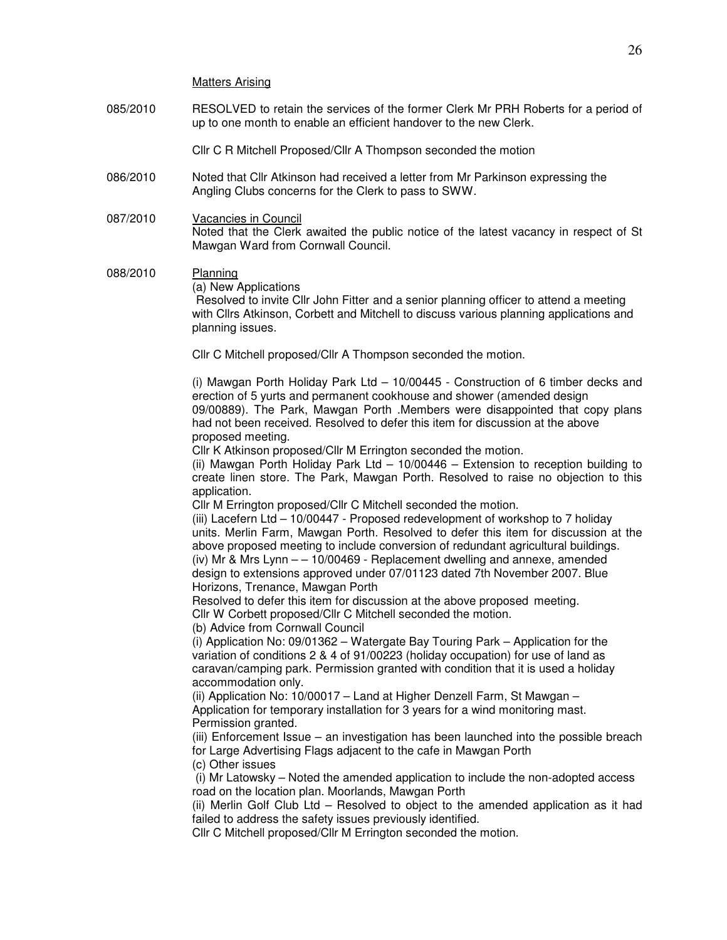Matters Arising

085/2010 RESOLVED to retain the services of the former Clerk Mr PRH Roberts for a period of up to one month to enable an efficient handover to the new Clerk.

Cllr C R Mitchell Proposed/Cllr A Thompson seconded the motion

- 086/2010 Noted that Cllr Atkinson had received a letter from Mr Parkinson expressing the Angling Clubs concerns for the Clerk to pass to SWW.
- 087/2010 Vacancies in Council Noted that the Clerk awaited the public notice of the latest vacancy in respect of St Mawgan Ward from Cornwall Council.

088/2010 Planning (a) New Applications Resolved to invite Cllr John Fitter and a senior planning officer to attend a meeting with Cllrs Atkinson, Corbett and Mitchell to discuss various planning applications and planning issues.

Cllr C Mitchell proposed/Cllr A Thompson seconded the motion.

 (i) Mawgan Porth Holiday Park Ltd – 10/00445 - Construction of 6 timber decks and erection of 5 yurts and permanent cookhouse and shower (amended design 09/00889). The Park, Mawgan Porth .Members were disappointed that copy plans had not been received. Resolved to defer this item for discussion at the above proposed meeting.

Cllr K Atkinson proposed/Cllr M Errington seconded the motion.

 (ii) Mawgan Porth Holiday Park Ltd – 10/00446 – Extension to reception building to create linen store. The Park, Mawgan Porth. Resolved to raise no objection to this application.

Cllr M Errington proposed/Cllr C Mitchell seconded the motion.

 (iii) Lacefern Ltd – 10/00447 - Proposed redevelopment of workshop to 7 holiday units. Merlin Farm, Mawgan Porth. Resolved to defer this item for discussion at the above proposed meeting to include conversion of redundant agricultural buildings. (iv) Mr & Mrs Lynn – – 10/00469 - Replacement dwelling and annexe, amended design to extensions approved under 07/01123 dated 7th November 2007. Blue Horizons, Trenance, Mawgan Porth

Resolved to defer this item for discussion at the above proposed meeting.

Cllr W Corbett proposed/Cllr C Mitchell seconded the motion.

(b) Advice from Cornwall Council

 (i) Application No: 09/01362 – Watergate Bay Touring Park – Application for the variation of conditions 2 & 4 of 91/00223 (holiday occupation) for use of land as caravan/camping park. Permission granted with condition that it is used a holiday accommodation only.

 (ii) Application No: 10/00017 – Land at Higher Denzell Farm, St Mawgan – Application for temporary installation for 3 years for a wind monitoring mast. Permission granted.

 (iii) Enforcement Issue – an investigation has been launched into the possible breach for Large Advertising Flags adjacent to the cafe in Mawgan Porth

(c) Other issues

 (i) Mr Latowsky – Noted the amended application to include the non-adopted access road on the location plan. Moorlands, Mawgan Porth

 (ii) Merlin Golf Club Ltd – Resolved to object to the amended application as it had failed to address the safety issues previously identified.

Cllr C Mitchell proposed/Cllr M Errington seconded the motion.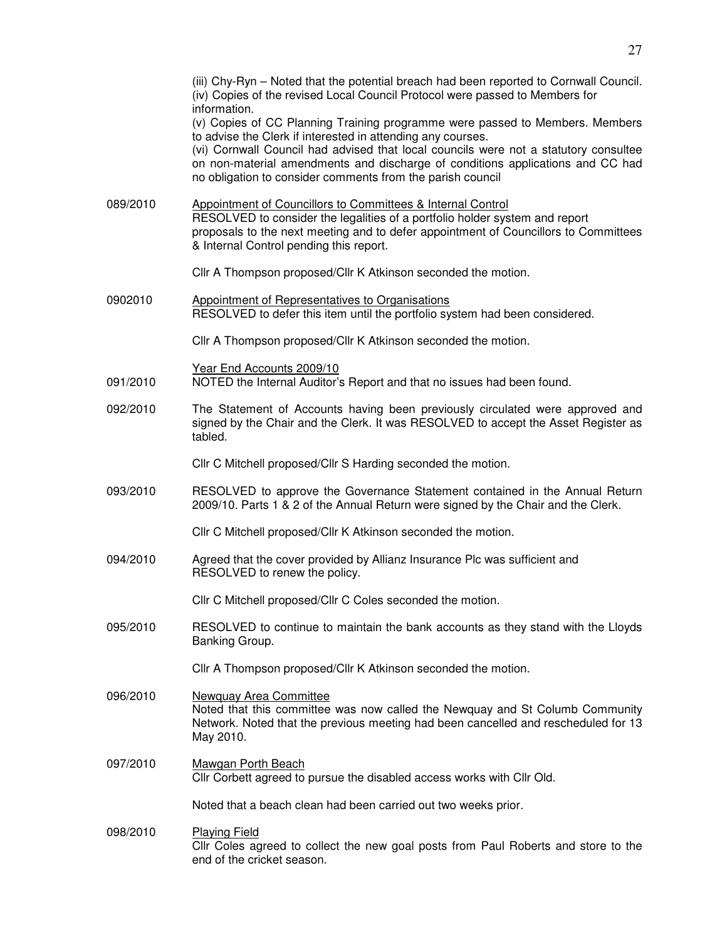|          | (iii) Chy-Ryn - Noted that the potential breach had been reported to Cornwall Council.<br>(iv) Copies of the revised Local Council Protocol were passed to Members for<br>information.                                                                                                                                                                                              |
|----------|-------------------------------------------------------------------------------------------------------------------------------------------------------------------------------------------------------------------------------------------------------------------------------------------------------------------------------------------------------------------------------------|
|          | (v) Copies of CC Planning Training programme were passed to Members. Members<br>to advise the Clerk if interested in attending any courses.<br>(vi) Cornwall Council had advised that local councils were not a statutory consultee<br>on non-material amendments and discharge of conditions applications and CC had<br>no obligation to consider comments from the parish council |
| 089/2010 | Appointment of Councillors to Committees & Internal Control<br>RESOLVED to consider the legalities of a portfolio holder system and report<br>proposals to the next meeting and to defer appointment of Councillors to Committees<br>& Internal Control pending this report.                                                                                                        |
|          | Cllr A Thompson proposed/Cllr K Atkinson seconded the motion.                                                                                                                                                                                                                                                                                                                       |
| 0902010  | <b>Appointment of Representatives to Organisations</b><br>RESOLVED to defer this item until the portfolio system had been considered.                                                                                                                                                                                                                                               |
|          | Cllr A Thompson proposed/Cllr K Atkinson seconded the motion.                                                                                                                                                                                                                                                                                                                       |
| 091/2010 | Year End Accounts 2009/10<br>NOTED the Internal Auditor's Report and that no issues had been found.                                                                                                                                                                                                                                                                                 |
| 092/2010 | The Statement of Accounts having been previously circulated were approved and<br>signed by the Chair and the Clerk. It was RESOLVED to accept the Asset Register as<br>tabled.                                                                                                                                                                                                      |
|          | Cllr C Mitchell proposed/Cllr S Harding seconded the motion.                                                                                                                                                                                                                                                                                                                        |
| 093/2010 | RESOLVED to approve the Governance Statement contained in the Annual Return<br>2009/10. Parts 1 & 2 of the Annual Return were signed by the Chair and the Clerk.                                                                                                                                                                                                                    |
|          | Cllr C Mitchell proposed/Cllr K Atkinson seconded the motion.                                                                                                                                                                                                                                                                                                                       |
| 094/2010 | Agreed that the cover provided by Allianz Insurance Plc was sufficient and<br>RESOLVED to renew the policy.                                                                                                                                                                                                                                                                         |
|          | Cllr C Mitchell proposed/Cllr C Coles seconded the motion.                                                                                                                                                                                                                                                                                                                          |
| 095/2010 | RESOLVED to continue to maintain the bank accounts as they stand with the Lloyds<br>Banking Group.                                                                                                                                                                                                                                                                                  |
|          | Cllr A Thompson proposed/Cllr K Atkinson seconded the motion.                                                                                                                                                                                                                                                                                                                       |
| 096/2010 | <b>Newquay Area Committee</b><br>Noted that this committee was now called the Newquay and St Columb Community<br>Network. Noted that the previous meeting had been cancelled and rescheduled for 13<br>May 2010.                                                                                                                                                                    |
| 097/2010 | <b>Mawgan Porth Beach</b><br>Cllr Corbett agreed to pursue the disabled access works with Cllr Old.                                                                                                                                                                                                                                                                                 |
|          | Noted that a beach clean had been carried out two weeks prior.                                                                                                                                                                                                                                                                                                                      |
| 098/2010 | <b>Playing Field</b><br>Cllr Coles agreed to collect the new goal posts from Paul Roberts and store to the<br>end of the cricket season.                                                                                                                                                                                                                                            |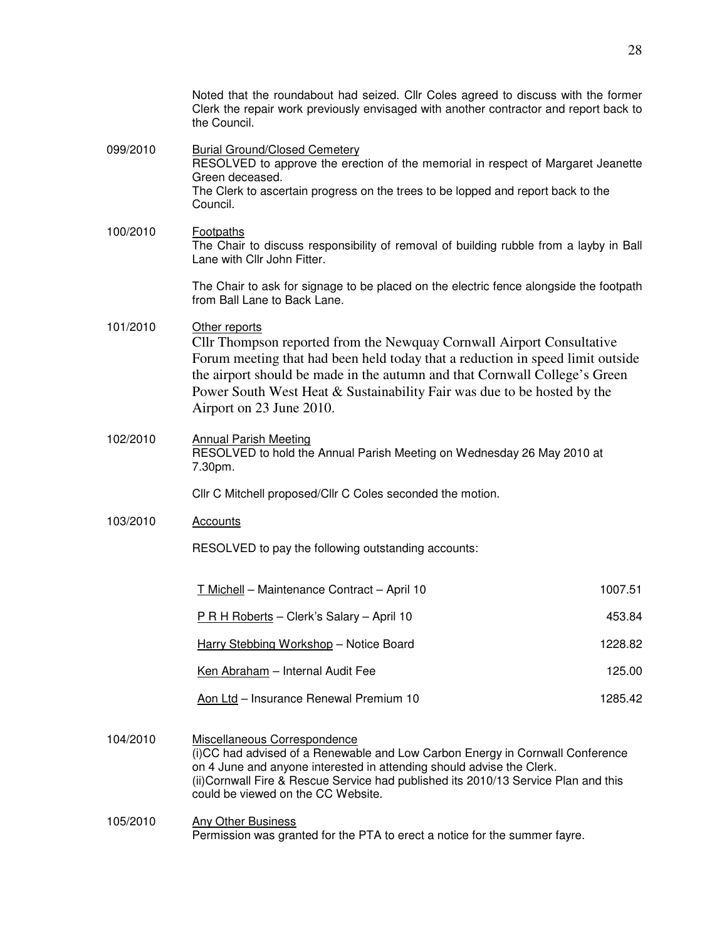|          | Noted that the roundabout had seized. Cllr Coles agreed to discuss with the former<br>Clerk the repair work previously envisaged with another contractor and report back to<br>the Council.                                                                                                                                                                   |         |  |
|----------|---------------------------------------------------------------------------------------------------------------------------------------------------------------------------------------------------------------------------------------------------------------------------------------------------------------------------------------------------------------|---------|--|
| 099/2010 | <b>Burial Ground/Closed Cemetery</b><br>RESOLVED to approve the erection of the memorial in respect of Margaret Jeanette<br>Green deceased.<br>The Clerk to ascertain progress on the trees to be lopped and report back to the<br>Council.                                                                                                                   |         |  |
| 100/2010 | <b>Footpaths</b><br>The Chair to discuss responsibility of removal of building rubble from a layby in Ball<br>Lane with Cllr John Fitter.                                                                                                                                                                                                                     |         |  |
|          | The Chair to ask for signage to be placed on the electric fence alongside the footpath<br>from Ball Lane to Back Lane.                                                                                                                                                                                                                                        |         |  |
| 101/2010 | Other reports<br>Cllr Thompson reported from the Newquay Cornwall Airport Consultative<br>Forum meeting that had been held today that a reduction in speed limit outside<br>the airport should be made in the autumn and that Cornwall College's Green<br>Power South West Heat & Sustainability Fair was due to be hosted by the<br>Airport on 23 June 2010. |         |  |
| 102/2010 | <b>Annual Parish Meeting</b><br>RESOLVED to hold the Annual Parish Meeting on Wednesday 26 May 2010 at<br>7.30pm.                                                                                                                                                                                                                                             |         |  |
|          | Cllr C Mitchell proposed/Cllr C Coles seconded the motion.                                                                                                                                                                                                                                                                                                    |         |  |
| 103/2010 | <b>Accounts</b>                                                                                                                                                                                                                                                                                                                                               |         |  |
|          | RESOLVED to pay the following outstanding accounts:                                                                                                                                                                                                                                                                                                           |         |  |
|          | T Michell - Maintenance Contract - April 10                                                                                                                                                                                                                                                                                                                   | 1007.51 |  |
|          | P R H Roberts - Clerk's Salary - April 10                                                                                                                                                                                                                                                                                                                     | 453.84  |  |
|          | Harry Stebbing Workshop - Notice Board                                                                                                                                                                                                                                                                                                                        | 1228.82 |  |
|          | Ken Abraham - Internal Audit Fee                                                                                                                                                                                                                                                                                                                              | 125.00  |  |
|          | Aon Ltd - Insurance Renewal Premium 10                                                                                                                                                                                                                                                                                                                        | 1285.42 |  |
| 104/2010 | Miscellaneous Correspondence<br>(i)CC had advised of a Renewable and Low Carbon Energy in Cornwall Conference<br>on 4 June and anyone interested in attending should advise the Clerk.<br>(ii) Cornwall Fire & Rescue Service had published its 2010/13 Service Plan and this<br>could be viewed on the CC Website.                                           |         |  |

## 105/2010 Any Other Business Permission was granted for the PTA to erect a notice for the summer fayre.